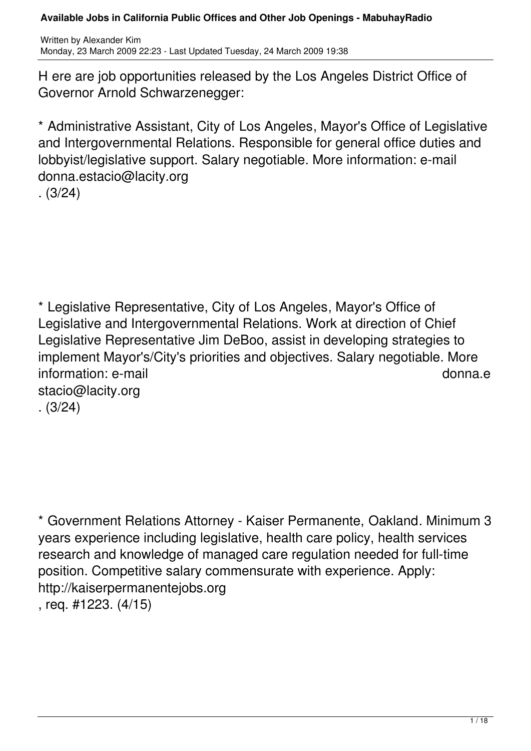H ere are job opportunities released by the Los Angeles District Office of Governor Arnold Schwarzenegger:

\* Administrative Assistant, City of Los Angeles, Mayor's Office of Legislative and Intergovernmental Relations. Responsible for general office duties and lobbyist/legislative support. Salary negotiable. More information: e-mail donna.estacio@lacity.org . (3/24)

\* Legislative Representative, City of Los Angeles, Mayor's Office of Legislative and Intergovernmental Relations. Work at direction of Chief Legislative Representative Jim DeBoo, assist in developing strategies to implement Mayor's/City's priorities and objectives. Salary negotiable. More information: e-mail donna.e stacio@lacity.org . (3/24)

\* Government Relations Attorney - Kaiser Permanente, Oakland. Minimum 3 years experience including legislative, health care policy, health services research and knowledge of managed care regulation needed for full-time position. Competitive salary commensurate with experience. Apply: http://kaiserpermanentejobs.org , req. #1223. (4/15)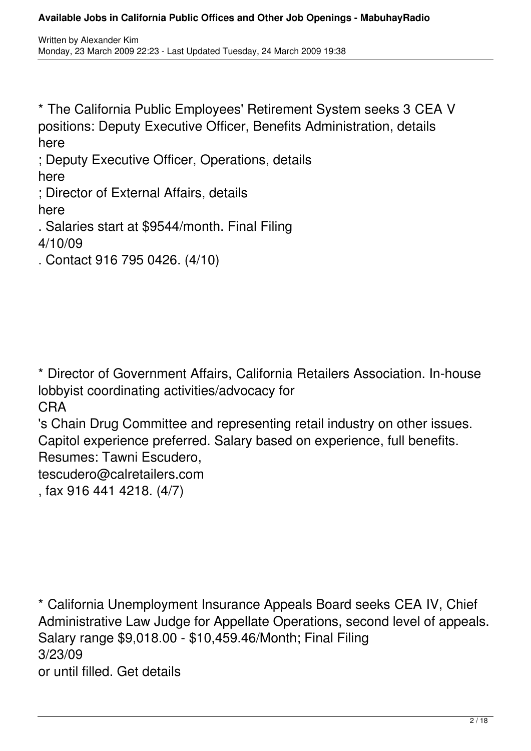\* The California Public Employees' Retirement System seeks 3 CEA V positions: Deputy Executive Officer, Benefits Administration, details here

; Deputy Executive Officer, Operations, details here

; Director of External Affairs, details here

. Salaries start at \$9544/month. Final Filing 4/10/09

. Contact 916 795 0426. (4/10)

\* Director of Government Affairs, California Retailers Association. In-house lobbyist coordinating activities/advocacy for CRA

's Chain Drug Committee and representing retail industry on other issues. Capitol experience preferred. Salary based on experience, full benefits. Resumes: Tawni Escudero,

tescudero@calretailers.com

, fax 916 441 4218. (4/7)

\* California Unemployment Insurance Appeals Board seeks CEA IV, Chief Administrative Law Judge for Appellate Operations, second level of appeals. Salary range \$9,018.00 - \$10,459.46/Month; Final Filing 3/23/09 or until filled. Get details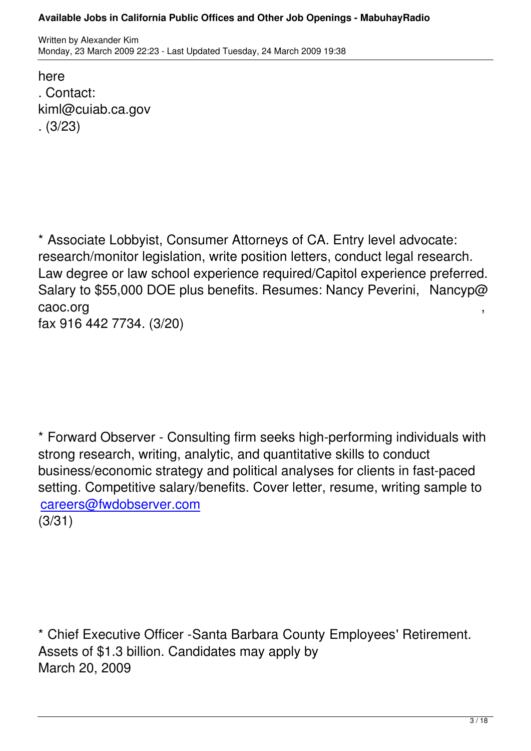here . Contact: kiml@cuiab.ca.gov . (3/23)

\* Associate Lobbyist, Consumer Attorneys of CA. Entry level advocate: research/monitor legislation, write position letters, conduct legal research. Law degree or law school experience required/Capitol experience preferred. Salary to \$55,000 DOE plus benefits. Resumes: Nancy Peverini, Nancyp@ caoc.org with the case of the case of the case of the case of the case of the case of the case of the case of the case of the case of the case of the case of the case of the case of the case of the case of the case of the

fax 916 442 7734. (3/20)

\* Forward Observer - Consulting firm seeks high-performing individuals with strong research, writing, analytic, and quantitative skills to conduct business/economic strategy and political analyses for clients in fast-paced setting. Competitive salary/benefits. Cover letter, resume, writing sample to careers@fwdobserver.com

(3/31)

\* Chief Executive Officer -Santa Barbara County Employees' Retirement. Assets of \$1.3 billion. Candidates may apply by March 20, 2009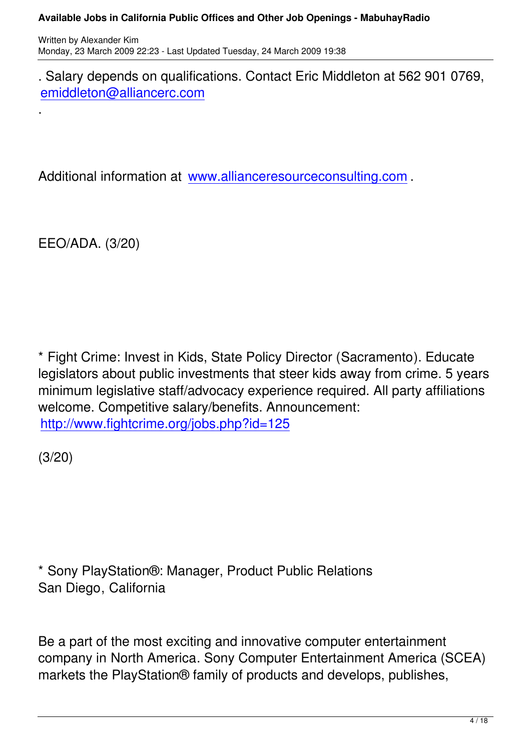. Salary depends on qualifications. Contact Eric Middleton at 562 901 0769, emiddleton@alliancerc.com

Additional information at www.allianceresourceconsulting.com .

EEO/ADA. (3/20)

.

\* Fight Crime: Invest in Kids, State Policy Director (Sacramento). Educate legislators about public investments that steer kids away from crime. 5 years minimum legislative staff/advocacy experience required. All party affiliations welcome. Competitive salary/benefits. Announcement: http://www.fightcrime.org/jobs.php?id=125

[\(3/20\)](http://www.fightcrime.org/jobs.php?id=125)

\* Sony PlayStation®: Manager, Product Public Relations San Diego, California

Be a part of the most exciting and innovative computer entertainment company in North America. Sony Computer Entertainment America (SCEA) markets the PlayStation® family of products and develops, publishes,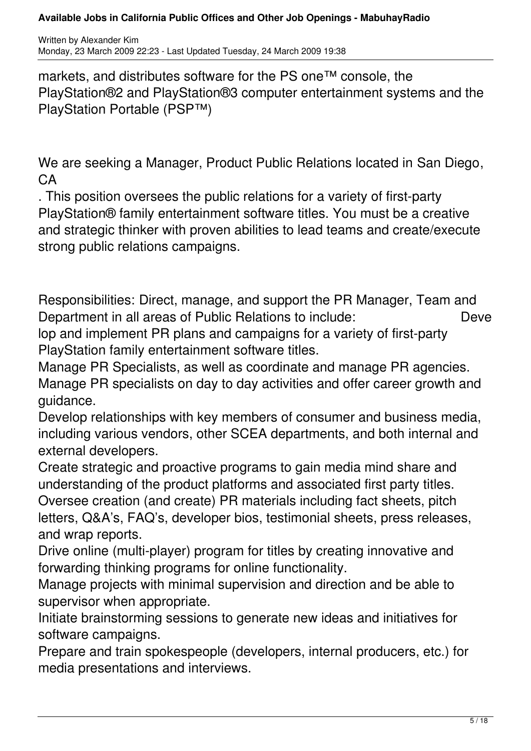markets, and distributes software for the PS one™ console, the PlayStation®2 and PlayStation®3 computer entertainment systems and the PlayStation Portable (PSP™)

We are seeking a Manager, Product Public Relations located in San Diego, CA

. This position oversees the public relations for a variety of first-party PlayStation® family entertainment software titles. You must be a creative and strategic thinker with proven abilities to lead teams and create/execute strong public relations campaigns.

Responsibilities: Direct, manage, and support the PR Manager, Team and Department in all areas of Public Relations to include: Deve lop and implement PR plans and campaigns for a variety of first-party

PlayStation family entertainment software titles.

Manage PR Specialists, as well as coordinate and manage PR agencies. Manage PR specialists on day to day activities and offer career growth and guidance.

Develop relationships with key members of consumer and business media, including various vendors, other SCEA departments, and both internal and external developers.

Create strategic and proactive programs to gain media mind share and understanding of the product platforms and associated first party titles. Oversee creation (and create) PR materials including fact sheets, pitch

letters, Q&A's, FAQ's, developer bios, testimonial sheets, press releases, and wrap reports.

Drive online (multi-player) program for titles by creating innovative and forwarding thinking programs for online functionality.

Manage projects with minimal supervision and direction and be able to supervisor when appropriate.

Initiate brainstorming sessions to generate new ideas and initiatives for software campaigns.

Prepare and train spokespeople (developers, internal producers, etc.) for media presentations and interviews.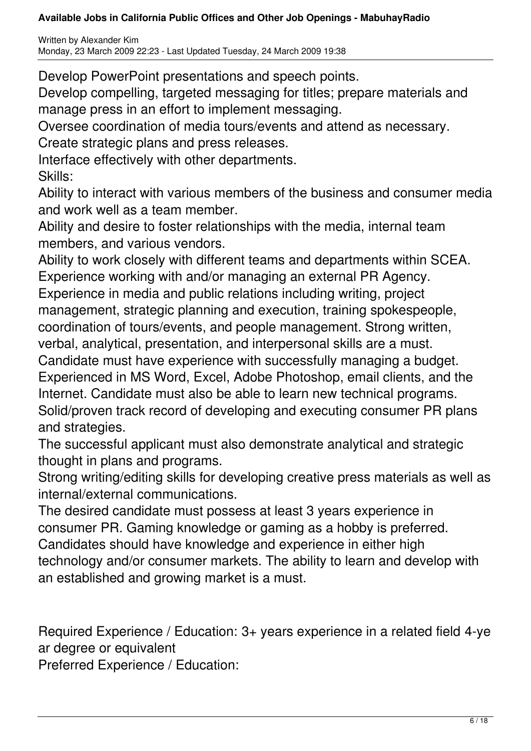Written by Alexander Kim Monday, 23 March 2009 22:23 - Last Updated Tuesday, 24 March 2009 19:38

Develop PowerPoint presentations and speech points.

Develop compelling, targeted messaging for titles; prepare materials and manage press in an effort to implement messaging.

Oversee coordination of media tours/events and attend as necessary. Create strategic plans and press releases.

Interface effectively with other departments. Skills:

Ability to interact with various members of the business and consumer media and work well as a team member.

Ability and desire to foster relationships with the media, internal team members, and various vendors.

Ability to work closely with different teams and departments within SCEA. Experience working with and/or managing an external PR Agency. Experience in media and public relations including writing, project management, strategic planning and execution, training spokespeople, coordination of tours/events, and people management. Strong written, verbal, analytical, presentation, and interpersonal skills are a must. Candidate must have experience with successfully managing a budget. Experienced in MS Word, Excel, Adobe Photoshop, email clients, and the Internet. Candidate must also be able to learn new technical programs. Solid/proven track record of developing and executing consumer PR plans and strategies.

The successful applicant must also demonstrate analytical and strategic thought in plans and programs.

Strong writing/editing skills for developing creative press materials as well as internal/external communications.

The desired candidate must possess at least 3 years experience in consumer PR. Gaming knowledge or gaming as a hobby is preferred. Candidates should have knowledge and experience in either high technology and/or consumer markets. The ability to learn and develop with an established and growing market is a must.

Required Experience / Education: 3+ years experience in a related field 4-ye ar degree or equivalent

Preferred Experience / Education: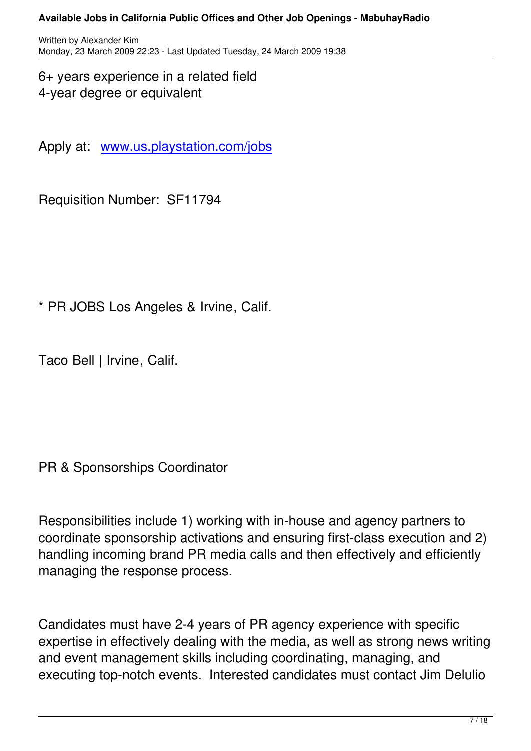6+ years experience in a related field 4-year degree or equivalent

Apply at: www.us.playstation.com/jobs

Requisitio[n Number: SF11794](http://www.us.playstation.com/jobs)

\* PR JOBS Los Angeles & Irvine, Calif.

Taco Bell | Irvine, Calif.

PR & Sponsorships Coordinator

Responsibilities include 1) working with in-house and agency partners to coordinate sponsorship activations and ensuring first-class execution and 2) handling incoming brand PR media calls and then effectively and efficiently managing the response process.

Candidates must have 2-4 years of PR agency experience with specific expertise in effectively dealing with the media, as well as strong news writing and event management skills including coordinating, managing, and executing top-notch events. Interested candidates must contact Jim Delulio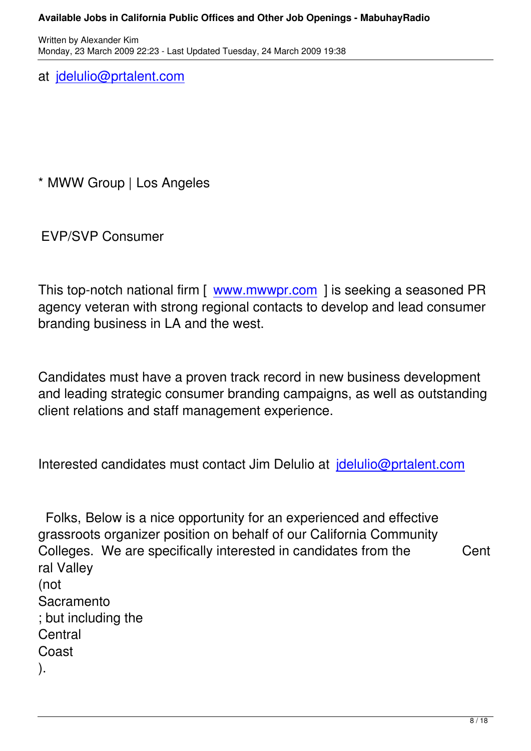at jdelulio@prtalent.com

\* MWW Group | Los Angeles

EVP/SVP Consumer

This top-notch national firm [ www.mwwpr.com ] is seeking a seasoned PR agency veteran with strong regional contacts to develop and lead consumer branding business in LA and [the west.](http://www.mwwpr.com/) 

Candidates must have a proven track record in new business development and leading strategic consumer branding campaigns, as well as outstanding client relations and staff management experience.

Interested candidates must contact Jim Delulio at jdelulio@prtalent.com

Folks, Below is a nice opportunity for an experie[nced and effective](mailto:jdelulio@prtalent.com) grassroots organizer position on behalf of our California Community Colleges. We are specifically interested in candidates from the Cent ral Valley (not Sacramento ; but including the **Central** Coast ).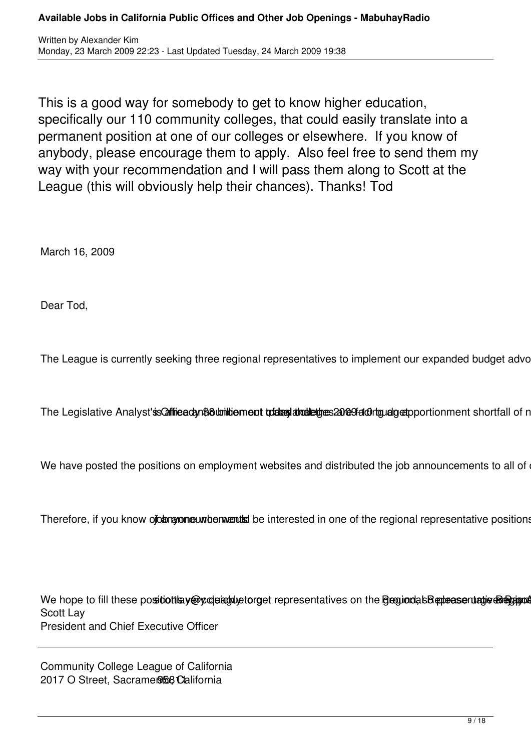This is a good way for somebody to get to know higher education, specifically our 110 community colleges, that could easily translate into a permanent position at one of our colleges or elsewhere. If you know of anybody, please encourage them to apply. Also feel free to send them my way with your recommendation and I will pass them along to Scott at the League (this will obviously help their chances). Thanks! Tod

March 16, 2009

Dear Tod,

The League is currently seeking three regional representatives to implement our expanded budget advo

The Legislative Analyst's Coffice dan Bouniliement to day drailet the same Graduan deportionment shortfall of n

We have posted the positions on employment websites and distributed the job announcements to all of

Therefore, if you know of anyone who would be interested in one of the regional representative positions

We hope to fill these position by option of the tepresentatives on the Benuondas Bentense madris chapted Scott Lay President and Chief Executive Officer

Community College League of California 2017 O Street, Sacramento California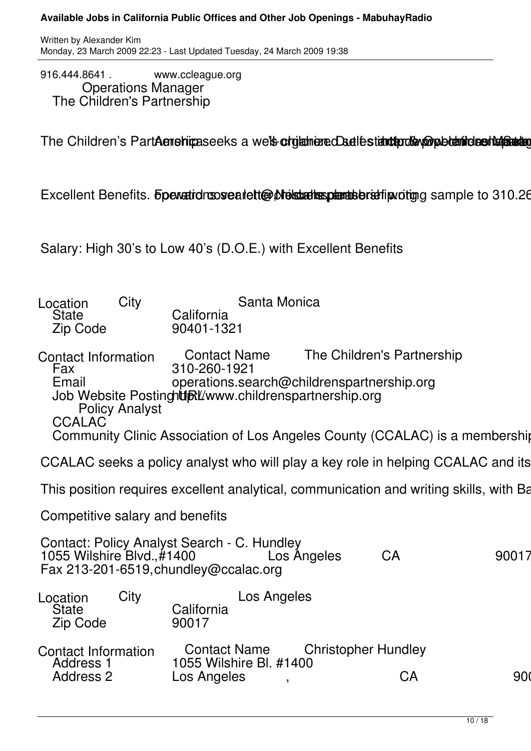916.444.8641 . www.ccleague.org **Conducts** Manager The Children's Partnership

The Children's PartAenshipaseeks a we'ls orgianered addestantend and bearing sentents

Excellent Benefits. Forward convented to writing the summer sample to 310.26

Salary: High 30's to Low 40's (D.O.E.) with Excellent Benefits

| Santa Monica<br>City<br>Location<br>California<br>State<br>Zip Code<br>90401-1321                                                                                                                                                                                                                                                              |           |  |  |
|------------------------------------------------------------------------------------------------------------------------------------------------------------------------------------------------------------------------------------------------------------------------------------------------------------------------------------------------|-----------|--|--|
| The Children's Partnership<br><b>Contact Name</b><br>Contact Information<br>Fax<br>310-260-1921<br>Email operations.search@childrenspartnership.org<br>Job Website Postingh <b>ti</b> Bt/www.childrenspartnership.org<br><b>Policy Analyst</b><br><b>CCALAC</b><br>Community Clinic Association of Los Angeles County (CCALAC) is a membership |           |  |  |
| CCALAC seeks a policy analyst who will play a key role in helping CCALAC and its                                                                                                                                                                                                                                                               |           |  |  |
| This position requires excellent analytical, communication and writing skills, with Ba                                                                                                                                                                                                                                                         |           |  |  |
| Competitive salary and benefits                                                                                                                                                                                                                                                                                                                |           |  |  |
| Contact: Policy Analyst Search - C. Hundley<br>1055 Wilshire Blvd., #1400<br>CA<br>Los Angeles<br>Fax 213-201-6519, chundley@ccalac.org                                                                                                                                                                                                        | 90017     |  |  |
| City<br>Los Angeles<br>Location<br>State<br>California<br>90017<br>Zip Code                                                                                                                                                                                                                                                                    |           |  |  |
| <b>Christopher Hundley</b><br><b>Contact Name</b><br><b>Contact Information</b><br>1055 Wilshire Bl. #1400<br>Address <sup>-</sup><br><b>Address 2</b><br>Los Angeles                                                                                                                                                                          | 900<br>CA |  |  |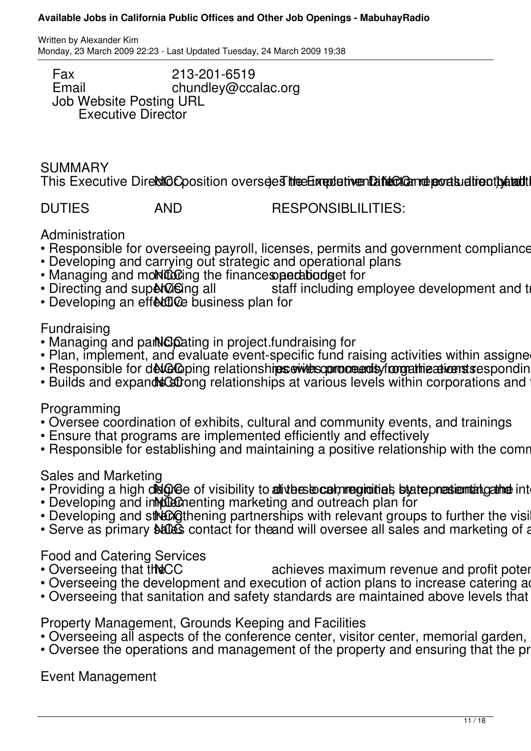Written by Alexander Kim Monday, 23 March 2009 22:23 - Last Updated Tuesday, 24 March 2009 19:38

Fax 213-201-6519<br>Email chundlev@cca chundley@ccalac.org Job Website Posting URL Executive Director

## **SUMMARY**

This Executive Direction oversees the Executive and the conditional extending the University

DUTIES AND RESPONSIBLILITIES:

# Administration

- Responsible for overseeing payroll, licenses, permits and government compliance
- Developing and carrying out strategic and operational plans
- Managing and monitoting the finances particulated for<br>• Directing and superation all estaff including equalstic operations.
- staff including employee development and t
- $\cdot$  Developing an effective business plan for

# Fundraising

- Managing and participating in project fundraising for
- Plan, implement, and evaluate event-specific fund raising activities within assigne
- · Responsible for developing relationshipservitesconoce and sympathizations as esponding
- Builds and expand **scationg relationships at various levels within corporations and**

# Programming

- Oversee coordination of exhibits, cultural and community events, and trainings
- Ensure that programs are implemented efficiently and effectively
- Responsible for establishing and maintaining a positive relationship with the comm

# Sales and Marketing

- Providing a high degree of visibility to at the state communities by a temperational international international level
- Developing and in the menting marketing and outreach plan for
- Developing and street operting partnerships with relevant groups to further the visi
- Serve as primary **sales** contact for the and will oversee all sales and marketing of a

# Food and Catering Services<br>• Overseeing that the CC

- achieves maximum revenue and profit potential achieves maximum revenue and profit potential  $\frac{d}{dt}$
- Overseeing the development and execution of action plans to increase catering a
- Overseeing that sanitation and safety standards are maintained above levels that

# Property Management, Grounds Keeping and Facilities

- Overseeing all aspects of the conference center, visitor center, memorial garden,
- Oversee the operations and management of the property and ensuring that the property

Event Management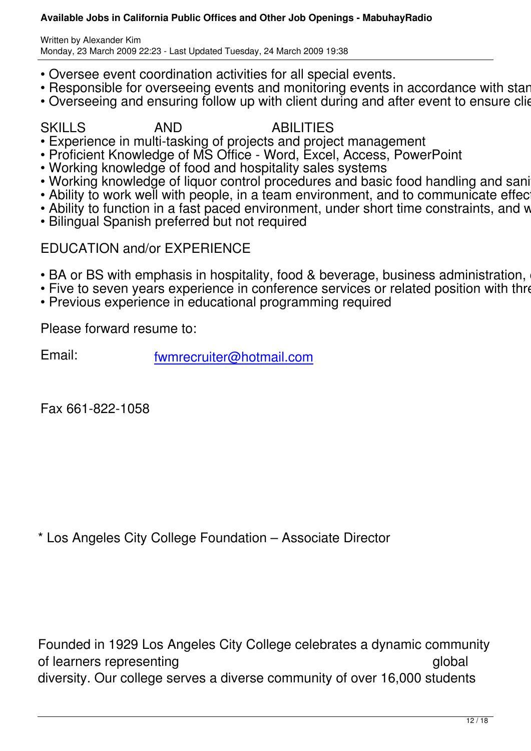- Oversee event coordination activities for all special events.
- Responsible for overseeing events and monitoring events in accordance with standards
- Overseeing and ensuring follow up with client during and after event to ensure client

# SKILLS AND ABILITIES

- Experience in multi-tasking of projects and project management
- Proficient Knowledge of MS Office Word, Excel, Access, PowerPoint
- Working knowledge of food and hospitality sales systems
- Working knowledge of liquor control procedures and basic food handling and sanitat
- Ability to work well with people, in a team environment, and to communicate effective
- Ability to function in a fast paced environment, under short time constraints, and with
- Bilingual Spanish preferred but not required

# EDUCATION and/or EXPERIENCE

- BA or BS with emphasis in hospitality, food & beverage, business administration, ed
- Five to seven years experience in conference services or related position with three
- Previous experience in educational programming required

Please forward resume to:

Email: fwmrecruiter@hotmail.com

Fax 661-822-1058

\* Los Angeles City College Foundation – Associate Director

Founded in 1929 Los Angeles City College celebrates a dynamic community of learners representing and the state of learners representing and the state of learners and global diversity. Our college serves a diverse community of over 16,000 students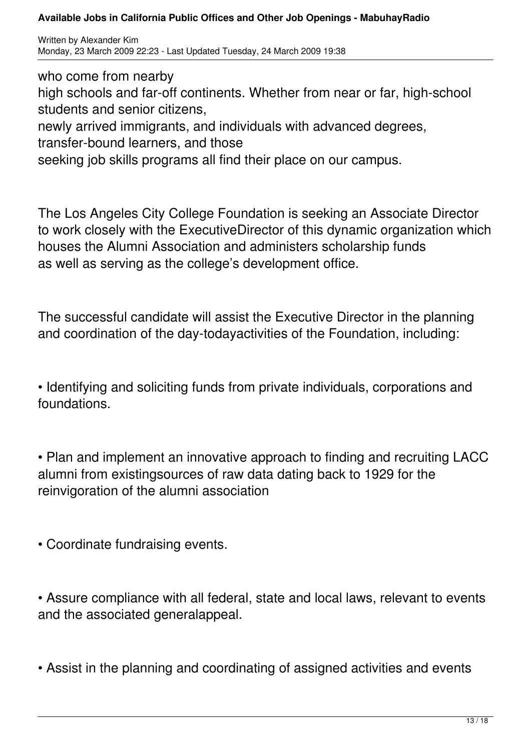Written by Alexander Kim Monday, 23 March 2009 22:23 - Last Updated Tuesday, 24 March 2009 19:38

who come from nearby

high schools and far-off continents. Whether from near or far, high-school students and senior citizens,

newly arrived immigrants, and individuals with advanced degrees,

transfer-bound learners, and those

seeking job skills programs all find their place on our campus.

The Los Angeles City College Foundation is seeking an Associate Director to work closely with the ExecutiveDirector of this dynamic organization which houses the Alumni Association and administers scholarship funds as well as serving as the college's development office.

The successful candidate will assist the Executive Director in the planning and coordination of the day-todayactivities of the Foundation, including:

• Identifying and soliciting funds from private individuals, corporations and foundations.

• Plan and implement an innovative approach to finding and recruiting LACC alumni from existingsources of raw data dating back to 1929 for the reinvigoration of the alumni association

• Coordinate fundraising events.

• Assure compliance with all federal, state and local laws, relevant to events and the associated generalappeal.

• Assist in the planning and coordinating of assigned activities and events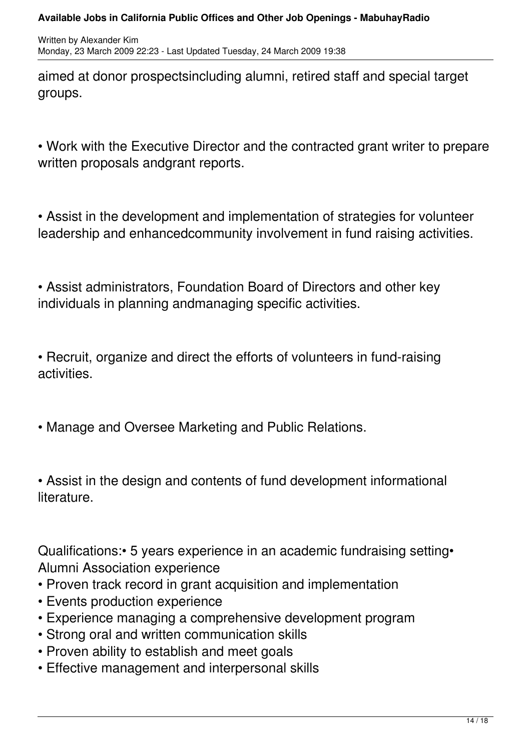aimed at donor prospectsincluding alumni, retired staff and special target groups.

• Work with the Executive Director and the contracted grant writer to prepare written proposals andgrant reports.

• Assist in the development and implementation of strategies for volunteer leadership and enhancedcommunity involvement in fund raising activities.

• Assist administrators, Foundation Board of Directors and other key individuals in planning andmanaging specific activities.

• Recruit, organize and direct the efforts of volunteers in fund-raising activities.

• Manage and Oversee Marketing and Public Relations.

• Assist in the design and contents of fund development informational literature.

Qualifications:• 5 years experience in an academic fundraising setting• Alumni Association experience

- Proven track record in grant acquisition and implementation
- Events production experience
- Experience managing a comprehensive development program
- Strong oral and written communication skills
- Proven ability to establish and meet goals
- Effective management and interpersonal skills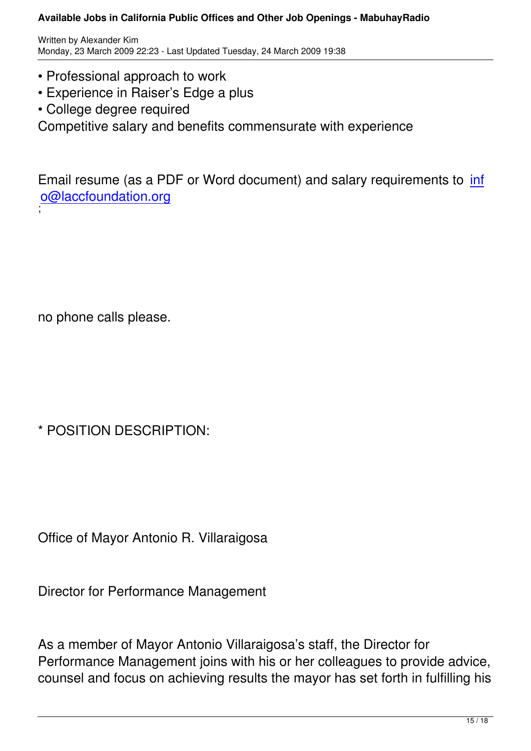- Professional approach to work
- Experience in Raiser's Edge a plus
- College degree required

Competitive salary and benefits commensurate with experience

Email resume (as a PDF or Word document) and salary requirements to inf o@laccfoundation.org ;

no phone calls please.

\* POSITION DESCRIPTION:

Office of Mayor Antonio R. Villaraigosa

Director for Performance Management

As a member of Mayor Antonio Villaraigosa's staff, the Director for Performance Management joins with his or her colleagues to provide advice, counsel and focus on achieving results the mayor has set forth in fulfilling his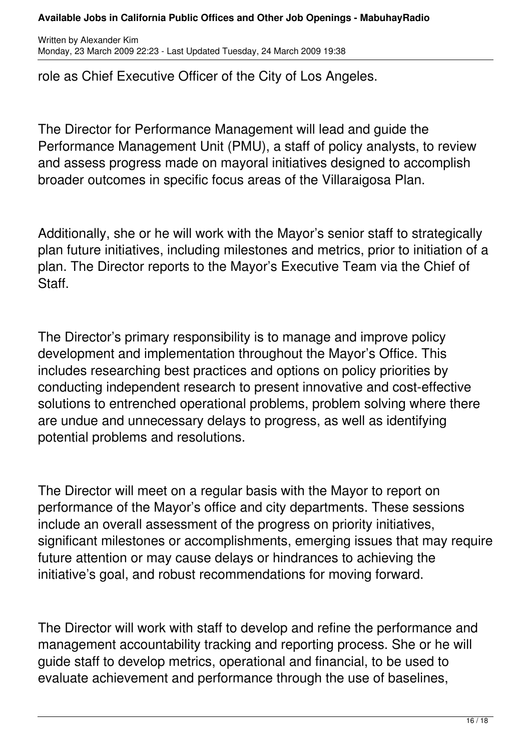Written by Alexander Kim Monday, 23 March 2009 22:23 - Last Updated Tuesday, 24 March 2009 19:38

role as Chief Executive Officer of the City of Los Angeles.

The Director for Performance Management will lead and guide the Performance Management Unit (PMU), a staff of policy analysts, to review and assess progress made on mayoral initiatives designed to accomplish broader outcomes in specific focus areas of the Villaraigosa Plan.

Additionally, she or he will work with the Mayor's senior staff to strategically plan future initiatives, including milestones and metrics, prior to initiation of a plan. The Director reports to the Mayor's Executive Team via the Chief of Staff.

The Director's primary responsibility is to manage and improve policy development and implementation throughout the Mayor's Office. This includes researching best practices and options on policy priorities by conducting independent research to present innovative and cost-effective solutions to entrenched operational problems, problem solving where there are undue and unnecessary delays to progress, as well as identifying potential problems and resolutions.

The Director will meet on a regular basis with the Mayor to report on performance of the Mayor's office and city departments. These sessions include an overall assessment of the progress on priority initiatives, significant milestones or accomplishments, emerging issues that may require future attention or may cause delays or hindrances to achieving the initiative's goal, and robust recommendations for moving forward.

The Director will work with staff to develop and refine the performance and management accountability tracking and reporting process. She or he will guide staff to develop metrics, operational and financial, to be used to evaluate achievement and performance through the use of baselines,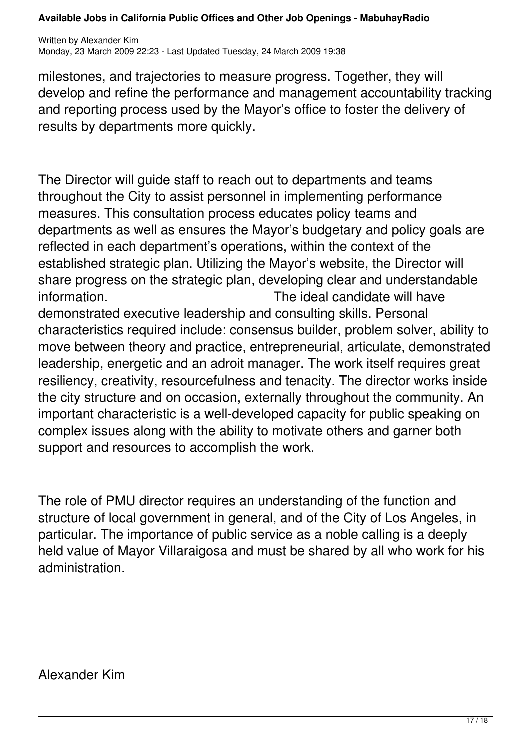Written by Alexander Kim Monday, 23 March 2009 22:23 - Last Updated Tuesday, 24 March 2009 19:38

milestones, and trajectories to measure progress. Together, they will develop and refine the performance and management accountability tracking and reporting process used by the Mayor's office to foster the delivery of results by departments more quickly.

The Director will guide staff to reach out to departments and teams throughout the City to assist personnel in implementing performance measures. This consultation process educates policy teams and departments as well as ensures the Mayor's budgetary and policy goals are reflected in each department's operations, within the context of the established strategic plan. Utilizing the Mayor's website, the Director will share progress on the strategic plan, developing clear and understandable information. The ideal candidate will have demonstrated executive leadership and consulting skills. Personal characteristics required include: consensus builder, problem solver, ability to move between theory and practice, entrepreneurial, articulate, demonstrated leadership, energetic and an adroit manager. The work itself requires great resiliency, creativity, resourcefulness and tenacity. The director works inside the city structure and on occasion, externally throughout the community. An important characteristic is a well-developed capacity for public speaking on complex issues along with the ability to motivate others and garner both support and resources to accomplish the work.

The role of PMU director requires an understanding of the function and structure of local government in general, and of the City of Los Angeles, in particular. The importance of public service as a noble calling is a deeply held value of Mayor Villaraigosa and must be shared by all who work for his administration.

Alexander Kim